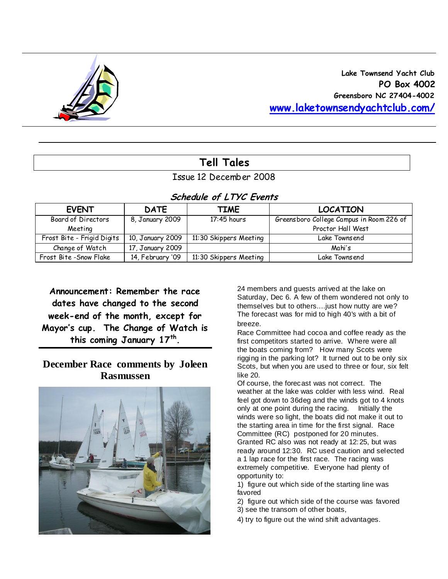

# **Tell Tales**

## Issue 12 December 2008

**Schedule of LTYC Events** 

| Chequie di Live Lyenis     |                  |                        |                                          |  |  |  |  |  |  |  |
|----------------------------|------------------|------------------------|------------------------------------------|--|--|--|--|--|--|--|
| <b>EVENT</b>               | <b>DATE</b>      | TIME                   | <b>LOCATION</b>                          |  |  |  |  |  |  |  |
| Board of Directors         | 8, January 2009  | $17:45$ hours          | Greensboro College Campus in Room 226 of |  |  |  |  |  |  |  |
| Meeting                    |                  |                        | Proctor Hall West                        |  |  |  |  |  |  |  |
| Frost Bite - Frigid Digits | 10, January 2009 | 11:30 Skippers Meeting | Lake Townsend                            |  |  |  |  |  |  |  |
| Change of Watch            | 17, January 2009 |                        | Mahi's                                   |  |  |  |  |  |  |  |
| Frost Bite - Snow Flake    | 14, February '09 | 11:30 Skippers Meeting | Lake Townsend                            |  |  |  |  |  |  |  |

**Announcement: Remember the race dates have changed to the second week-end of the month, except for Mayor's cup. The Change of Watch is this coming January 17th .** 

## **December Race comments by Joleen Rasmussen**



24 members and guests arrived at the lake on Saturday, Dec 6. A few of them wondered not only to themselves but to others....just how nutty are we? The forecast was for mid to high 40's with a bit of breeze.

Race Committee had cocoa and coffee ready as the first competitors started to arrive. Where were all the boats coming from? How many Scots were rigging in the parking lot? It turned out to be only six Scots, but when you are used to three or four, six felt like 20.

Of course, the forecast was not correct. The weather at the lake was colder with less wind. Real feel got down to 36deg and the winds got to 4 knots only at one point during the racing. Initially the winds were so light, the boats did not make it out to the starting area in time for the first signal. Race Committee (RC) postponed for 20 minutes. Granted RC also was not ready at 12:25, but was ready around 12:30. RC used caution and selected a 1 lap race for the first race. The racing was extremely competitive. Everyone had plenty of opportunity to:

1) figure out which side of the starting line was favored

2) figure out which side of the course was favored 3) see the transom of other boats,

4) try to figure out the wind shift advantages.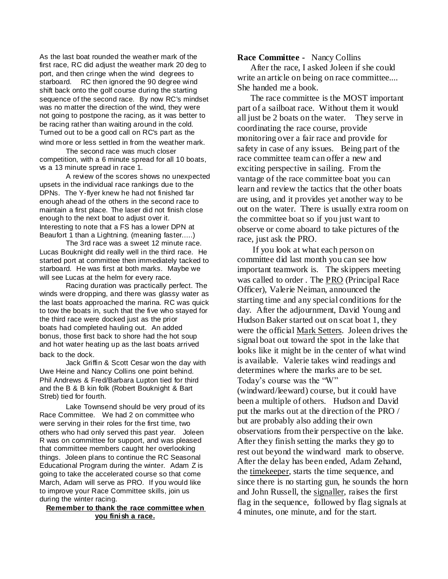As the last boat rounded the weather mark of the first race, RC did adjust the weather mark 20 deg to port, and then cringe when the wind degrees to starboard. RC then ignored the 90 degree wind shift back onto the golf course during the starting sequence of the second race. By now RC's mindset was no matter the direction of the wind, they were not going to postpone the racing, as it was better to be racing rather than waiting around in the cold. Turned out to be a good call on RC's part as the wind more or less settled in from the weather mark.

The second race was much closer competition, with a 6 minute spread for all 10 boats, vs a 13 minute spread in race 1.

A review of the scores shows no unexpected upsets in the individual race rankings due to the DPNs. The Y-flyer knew he had not finished far enough ahead of the others in the second race to maintain a first place. The laser did not finish close enough to the next boat to adjust over it. Interesting to note that a FS has a lower DPN at Beaufort 1 than a Lightning. (meaning faster.....)

The 3rd race was a sweet 12 minute race. Lucas Bouknight did really well in the third race. He started port at committee then immediately tacked to starboard. He was first at both marks. Maybe we will see Lucas at the helm for every race.

Racing duration was practically perfect. The winds were dropping, and there was glassy water as the last boats approached the marina. RC was quick to tow the boats in, such that the five who stayed for the third race were docked just as the prior boats had completed hauling out. An added bonus, those first back to shore had the hot soup and hot water heating up as the last boats arrived back to the dock.

Jack Griffin & Scott Cesar won the day with Uwe Heine and Nancy Collins one point behind. Phil Andrews & Fred/Barbara Lupton tied for third and the B & B kin folk (Robert Bouknight & Bart Streb) tied for fourth.

Lake Townsend should be very proud of its Race Committee. We had 2 on committee who were serving in their roles for the first time, two others who had only served this past year. Joleen R was on committee for support, and was pleased that committee members caught her overlooking things. Joleen plans to continue the RC Seasonal Educational Program during the winter. Adam Z is going to take the accelerated course so that come March, Adam will serve as PRO. If you would like to improve your Race Committee skills, join us during the winter racing.

## **Remember to thank the race committee when you finish a race.**

## **Race Committee -** Nancy Collins

 After the race, I asked Joleen if she could write an article on being on race committee.... She handed me a book.

 The race committee is the MOST important part of a sailboat race. Without them it would all just be 2 boats on the water. They serve in coordinating the race course, provide monitoring over a fair race and provide for safety in case of any issues. Being part of the race committee team can offer a new and exciting perspective in sailing. From the vantage of the race committee boat you can learn and review the tactics that the other boats are using, and it provides yet another way to be out on the water. There is usually extra room on the committee boat so if you just want to observe or come aboard to take pictures of the race, just ask the PRO.

 If you look at what each person on committee did last month you can see how important teamwork is. The skippers meeting was called to order . The PRO (Principal Race Officer), Valerie Neiman, announced the starting time and any special conditions for the day. After the adjournment, David Young and Hudson Baker started out on scat boat 1, they were the official Mark Setters. Joleen drives the signal boat out toward the spot in the lake that looks like it might be in the center of what wind is available. Valerie takes wind readings and determines where the marks are to be set. Today's course was the "W" (windward/leeward) course, but it could have been a multiple of others. Hudson and David put the marks out at the direction of the PRO / but are probably also adding their own observations from their perspective on the lake. After they finish setting the marks they go to rest out beyond the windward mark to observe. After the delay has been ended, Adam Zehand, the timekeeper, starts the time sequence, and since there is no starting gun, he sounds the horn and John Russell, the signaller, raises the first flag in the sequence, followed by flag signals at 4 minutes, one minute, and for the start.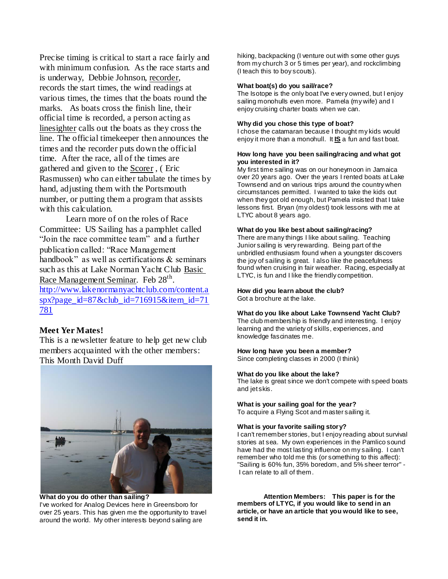Precise timing is critical to start a race fairly and with minimum confusion. As the race starts and is underway, Debbie Johnson, recorder, records the start times, the wind readings at various times, the times that the boats round the marks. As boats cross the finish line, their official time is recorded, a person acting as linesighter calls out the boats as they cross the line. The official timekeeper then announces the times and the recorder puts down the official time. After the race, all of the times are gathered and given to the Scorer , ( Eric Rasmussen) who can either tabulate the times by hand, adjusting them with the Portsmouth number, or putting them a program that assists with this calculation.

Learn more of on the roles of Race Committee: US Sailing has a pamphlet called "Join the race committee team" and a further publication called: "Race Management handbook" as well as certifications & seminars such as this at Lake Norman Yacht Club Basic Race Management Seminar. Feb 28<sup>th</sup>. [http://www.lakenormanyachtclub.com/content.a](http://www.lakenormanyachtclub.com/content.aspx?page_id=87&club_id=716915&item_id=71781) [spx?page\\_id=87&club\\_id=716915&item\\_id=71](http://www.lakenormanyachtclub.com/content.aspx?page_id=87&club_id=716915&item_id=71781) [781](http://www.lakenormanyachtclub.com/content.aspx?page_id=87&club_id=716915&item_id=71781)

## **Meet Yer Mates!**

This is a newsletter feature to help get new club members acquainted with the other members: This Month David Duff



**What do you do other than sailing?** I've worked for Analog Devices here in Greensboro for over 25 years. This has given me the opportunity to travel around the world. My other interests beyond sailing are

hiking, backpacking (I venture out with some other guys from my church 3 or 5 times per year), and rockclimbing (I teach this to boy scouts).

### **What boat(s) do you sail/race?**

The Isotope is the only boat I've every owned, but I enjoy sailing monohulls even more. Pamela (my wife) and I enjoy cruising charter boats when we can.

### **Why did you chose this type of boat?**

I chose the catamaran because I thought my kids would enjoy it more than a monohull. It **IS** a fun and fast boat.

#### **How long have you been sailing/racing and what got you interested in it?**

My first time sailing was on our honeymoon in Jamaica over 20 years ago. Over the years I rented boats at Lake Townsend and on various trips around the country when circumstances permitted. I wanted to take the kids out when they got old enough, but Pamela insisted that I take lessons first. Bryan (my oldest) took lessons with me at LTYC about 8 years ago.

#### **What do you like best about sailing/racing?**

There are many things I like about sailing. Teaching Junior sailing is very rewarding. Being part of the unbridled enthusiasm found when a youngster discovers the joy of sailing is great. I also like the peacefulness found when cruising in fair weather. Racing, especially at LTYC, is fun and I like the friendly competition.

## **How did you learn about the club?**

Got a brochure at the lake.

## **What do you like about Lake Townsend Yacht Club?**

The club membership is friendly and interesting. I enjoy learning and the variety of skills, experiences, and knowledge fascinates me.

### **How long have you been a member?**

Since completing classes in 2000 (I think)

#### **What do you like about the lake?**

The lake is great since we don't compete with speed boats and jet skis.

## **What is your sailing goal for the year?**

To acquire a Flying Scot and master sailing it.

#### **What is your favorite sailing story?**

I can't remember stories, but I enjoy reading about survival stories at sea. My own experiences in the Pamlico sound have had the most lasting influence on my sailing. I can't remember who told me this (or something to this affect): "Sailing is 60% fun, 35% boredom, and 5% sheer terror" - I can relate to all of them.

**Attention Members: This paper is for the members of LTYC, if you would like to send in an article, or have an article that you would like to see, send it in.**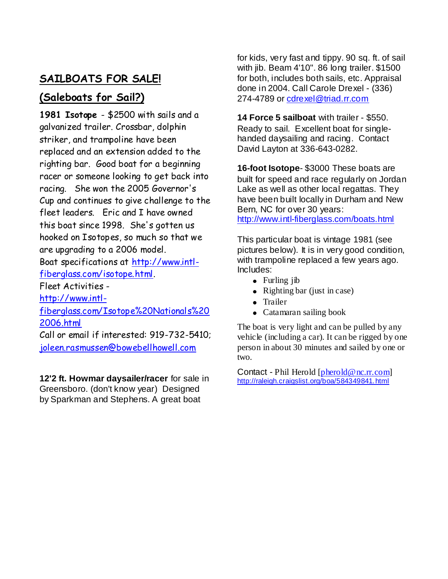# **SAILBOATS FOR SALE!**

# **(Saleboats for Sail?)**

**1981 Isotope** - \$2500 with sails and a galvanized trailer. Crossbar, dolphin striker, and trampoline have been replaced and an extension added to the righting bar. Good boat for a beginning racer or someone looking to get back into racing. She won the 2005 Governor's Cup and continues to give challenge to the fleet leaders. Eric and I have owned this boat since 1998. She's gotten us hooked on Isotopes, so much so that we are upgrading to a 2006 model.

Boat specifications at [http://www.intl](http://www.intl-fiberglass.com/isotope.html)[fiberglass.com/isotope.html.](http://www.intl-fiberglass.com/isotope.html)

Fleet Activities -

[http://www.intl-](http://www.intl-fiberglass.com/Isotope%20Nationals%202006.html)

[fiberglass.com/Isotope%20Nationals%20](http://www.intl-fiberglass.com/Isotope%20Nationals%202006.html) [2006.html](http://www.intl-fiberglass.com/Isotope%20Nationals%202006.html)

Call or email if interested: 919-732-5410; [joleen.rasmussen@bowebellhowell.com](mailto:joleen.rasmussen@bowebellhowell.com)

**12'2 ft. Howmar daysailer/racer** for sale in Greensboro. (don't know year) Designed by Sparkman and Stephens. A great boat

for kids, very fast and tippy. 90 sq. ft. of sail with jib. Beam 4'10". 86 long trailer. \$1500 for both, includes both sails, etc. Appraisal done in 2004. Call Carole Drexel - (336) 274-4789 or [cdrexel@triad.rr.com](mailto:cdrexel@triad.rr.com)

**14 Force 5 sailboat** with trailer - \$550. Ready to sail. Excellent boat for singlehanded daysailing and racing. Contact David Layton at 336-643-0282.

**16-foot Isotope**- \$3000 These boats are built for speed and race regularly on Jordan Lake as well as other local regattas. They have been built locally in Durham and New Bern, NC for over 30 years: <http://www.intl-fiberglass.com/boats.html>

This particular boat is vintage 1981 (see pictures below). It is in very good condition, with trampoline replaced a few years ago. Includes:

- Furling jib
- Righting bar (just in case)
- Trailer
- $\bullet$ Catamaran sailing book

The boat is very light and can be pulled by any vehicle (including a car). It can be rigged by one person in about 30 minutes and sailed by one or two.

Contact - Phil Herold [\[pherold@nc.rr.com\]](http://webmail.att.net/wmc/v/wm/47E997450008F710000072F722230682229B0A02D2089B9A019C04040A0DBF9A0A02070A08?cmd=ComposeTo&adr=pherold@nc.rr.com&sid=c0) [http://raleigh.craigslist.org/boa/584349841.html](http://raleigh.craigslist.org/boa/584349841.html#_blank)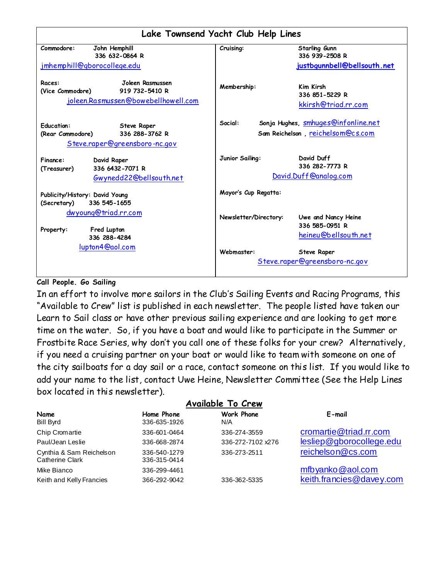| Lake Townsend Yacht Club Help Lines                                                                            |                                                                                            |                                                                |  |  |  |  |  |
|----------------------------------------------------------------------------------------------------------------|--------------------------------------------------------------------------------------------|----------------------------------------------------------------|--|--|--|--|--|
| Commodore:<br>John Hemphill<br>336 632-0864 R<br>jmhemphill@gborocollege.edu                                   | Cruising:                                                                                  | Starling Gunn<br>336 939-2508 R<br>justbgunnbell@bellsouth.net |  |  |  |  |  |
| Joleen Rasmussen<br>Races:<br>919 732-5410 R<br>(Vice Commodore)<br>joleen.Rasmussen@bowebellhowell.com        | Membership:                                                                                | <b>Kim Kirsh</b><br>336 851-5229 R<br>kkirsh@triad.rr.com      |  |  |  |  |  |
| <b>Education:</b><br><b>Steve Raper</b><br>336 288-3762 R<br>(Rear Commodore)<br>Steve.raper@greensboro-nc.gov | Sonja Hughes, smhuges@infonline.net<br>Social:<br>Sam Reichelson, <u>reichelsom@cs.com</u> |                                                                |  |  |  |  |  |
| David Raper<br>Finance:<br>336 6432-7071 R<br>(Treasurer)<br>Gwynedd22@bellsouth.net                           | Junior Sailing:                                                                            | David Duff<br>336 282-7773 R<br>David.Duff@analog.com          |  |  |  |  |  |
| Publicity/History: David Young<br>336 545-1655<br>(Secretary)                                                  | Mayor's Cup Regatta:                                                                       |                                                                |  |  |  |  |  |
| dwyoung@triad.rr.com<br>Fred Lupton<br>Property:<br>336 288-4284                                               | Newsletter/Directory:                                                                      | Uwe and Nancy Heine<br>336 585-0951 R<br>heineu@bellsouth.net  |  |  |  |  |  |
| lupton4@aol.com                                                                                                | Webmaster:                                                                                 | <b>Steve Raper</b><br>Steve.raper@greensboro-nc.gov            |  |  |  |  |  |

## **Call People. Go Sailing**

In an effort to involve more sailors in the Club"s Sailing Events and Racing Programs, this "Available to Crew" list is published in each newsletter. The people listed have taken our Learn to Sail class or have other previous sailing experience and are looking to get more time on the water. So, if you have a boat and would like to participate in the Summer or Frostbite Race Series, why don"t you call one of these folks for your crew? Alternatively, if you need a cruising partner on your boat or would like to team with someone on one of the city sailboats for a day sail or a race, contact someone on this list. If you would like to add your name to the list, contact Uwe Heine, Newsletter Committee (See the Help Lines box located in this newsletter).

| <b>Available To Crew</b>                    |                              |                   |                          |  |  |  |  |  |  |  |
|---------------------------------------------|------------------------------|-------------------|--------------------------|--|--|--|--|--|--|--|
| Name<br><b>Bill Byrd</b>                    | Home Phone<br>336-635-1926   | Work Phone<br>N/A | $E$ -mail                |  |  |  |  |  |  |  |
| Chip Cromartie                              | 336-601-0464                 | 336-274-3559      | cromartie@triad.rr.com   |  |  |  |  |  |  |  |
| Paul/Jean Leslie                            | 336-668-2874                 | 336-272-7102 x276 | lesliep@gborocollege.edu |  |  |  |  |  |  |  |
| Cynthia & Sam Reichelson<br>Catherine Clark | 336-540-1279<br>336-315-0414 | 336-273-2511      | reichelson@cs.com        |  |  |  |  |  |  |  |
| Mike Bianco                                 | 336-299-4461                 |                   | mfbyanko@aol.com         |  |  |  |  |  |  |  |
| Keith and Kelly Francies                    | 366-292-9042                 | 336-362-5335      | keith.francies@davey.com |  |  |  |  |  |  |  |